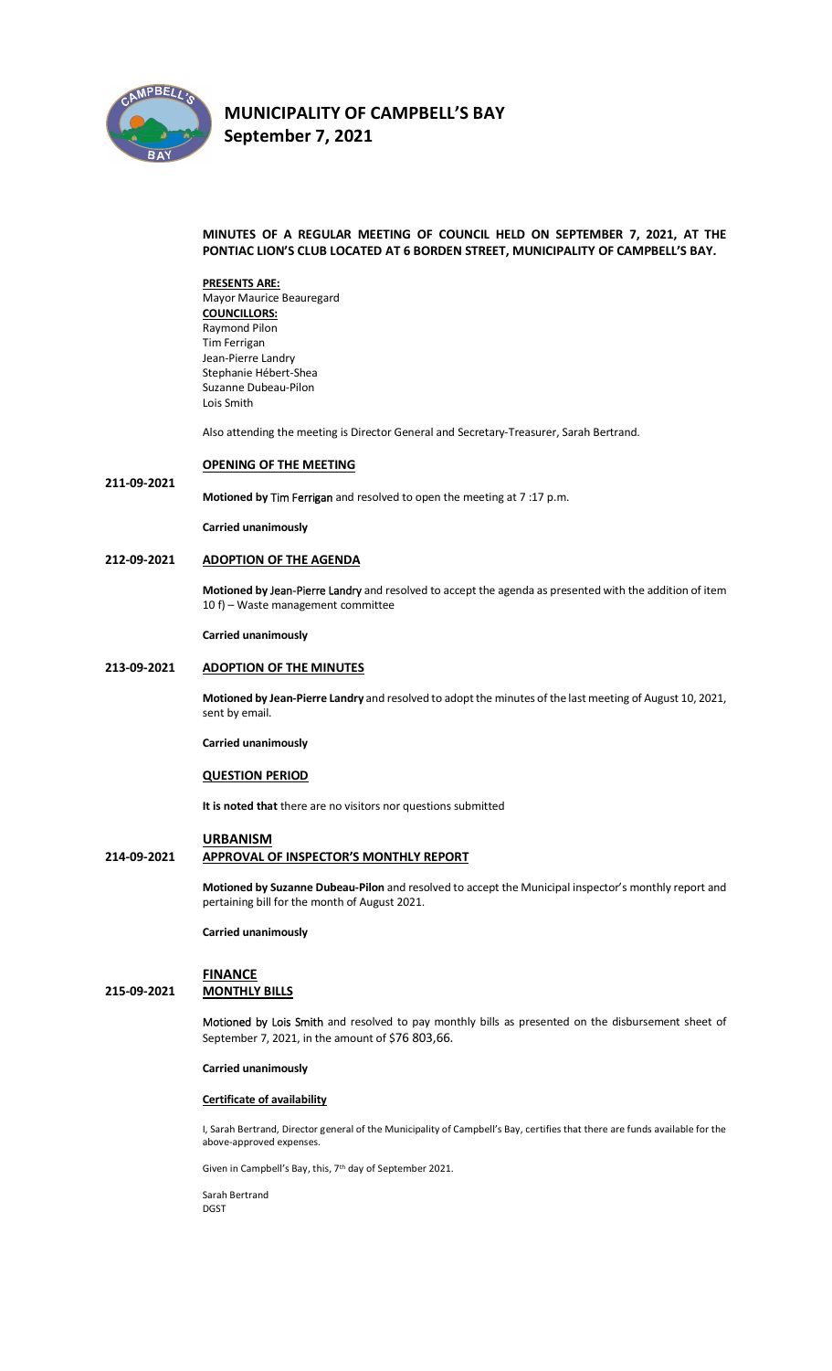

**211-09-2021**

# **MUNICIPALITY OF CAMPBELL'S BAY September 7, 2021**

## **MINUTES OF A REGULAR MEETING OF COUNCIL HELD ON SEPTEMBER 7, 2021, AT THE PONTIAC LION'S CLUB LOCATED AT 6 BORDEN STREET, MUNICIPALITY OF CAMPBELL'S BAY.**

**PRESENTS ARE:**  Mayor Maurice Beauregard **COUNCILLORS:** Raymond Pilon Tim Ferrigan Jean-Pierre Landry Stephanie Hébert-Shea Suzanne Dubeau-Pilon Lois Smith

Also attending the meeting is Director General and Secretary-Treasurer, Sarah Bertrand.

### **OPENING OF THE MEETING**

**Motioned by Tim Ferrigan** and resolved to open the meeting at 7 :17 p.m.

**Carried unanimously**

#### **212-09-2021 ADOPTION OF THE AGENDA**

**Motioned by Jean-Pierre Landry** and resolved to accept the agenda as presented with the addition of item 10 f) – Waste management committee

**Carried unanimously**

## **213-09-2021 ADOPTION OF THE MINUTES**

**Motioned by Jean-Pierre Landry** and resolved to adopt the minutes of the last meeting of August 10, 2021, sent by email.

**Carried unanimously**

## **QUESTION PERIOD**

**It is noted that** there are no visitors nor questions submitted

### **URBANISM**

## **214-09-2021 APPROVAL OF INSPECTOR'S MONTHLY REPORT**

**Motioned by Suzanne Dubeau-Pilon** and resolved to accept the Municipal inspector's monthly report and pertaining bill for the month of August 2021.

**Carried unanimously**

## **FINANCE 215-09-2021 MONTHLY BILLS**

**Motioned by Lois Smith** and resolved to pay monthly bills as presented on the disbursement sheet of September 7, 2021, in the amount of \$76 803,66.

### **Carried unanimously**

#### **Certificate of availability**

I, Sarah Bertrand, Director general of the Municipality of Campbell's Bay, certifies that there are funds available for the above-approved expenses.

Given in Campbell's Bay, this, 7<sup>th</sup> day of September 2021.

Sarah Bertrand DGST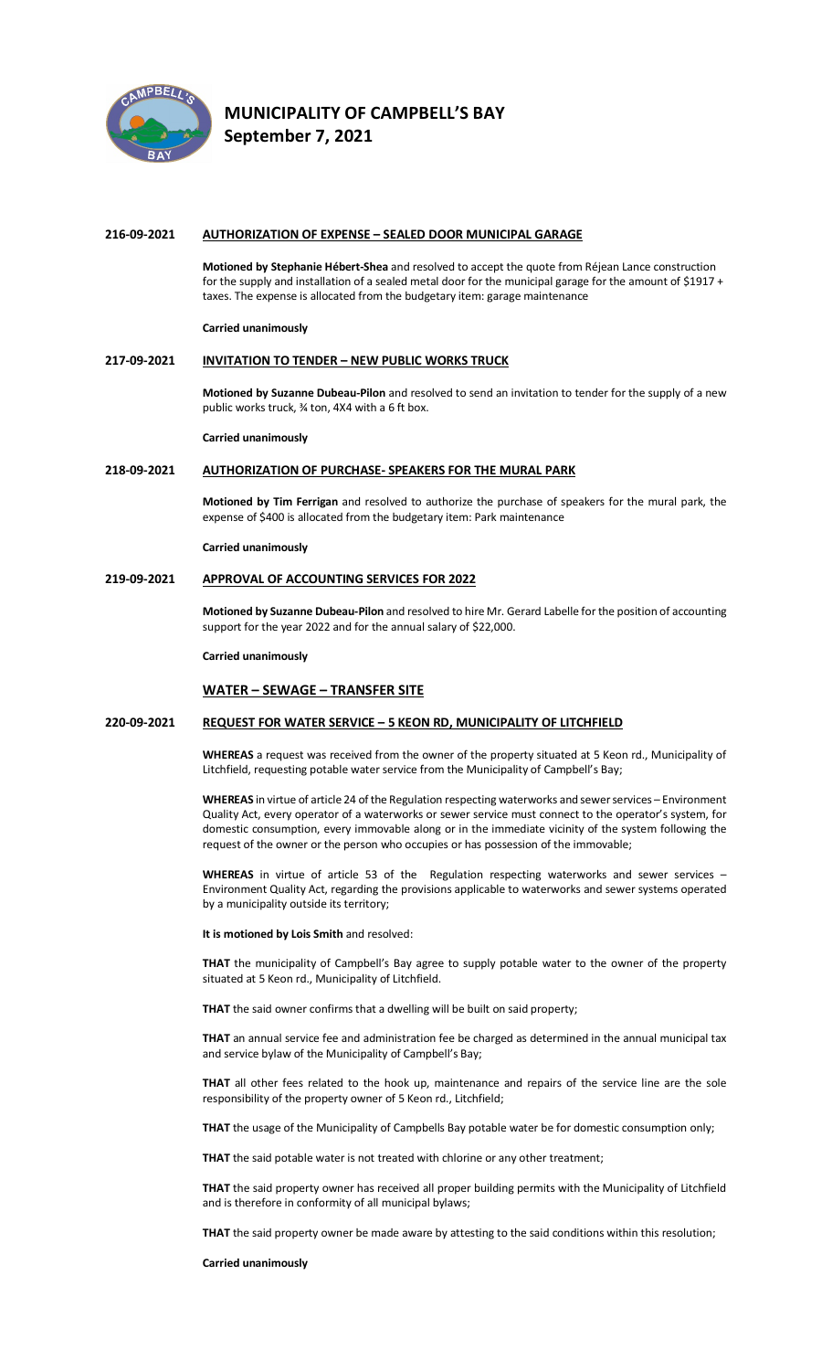

## **216-09-2021 AUTHORIZATION OF EXPENSE – SEALED DOOR MUNICIPAL GARAGE**

**Motioned by Stephanie Hébert-Shea** and resolved to accept the quote from Réjean Lance construction for the supply and installation of a sealed metal door for the municipal garage for the amount of \$1917 + taxes. The expense is allocated from the budgetary item: garage maintenance

#### **Carried unanimously**

#### **217-09-2021 INVITATION TO TENDER – NEW PUBLIC WORKS TRUCK**

**Motioned by Suzanne Dubeau-Pilon** and resolved to send an invitation to tender for the supply of a new public works truck, ¾ ton, 4X4 with a 6 ft box.

**Carried unanimously**

### **218-09-2021 AUTHORIZATION OF PURCHASE- SPEAKERS FOR THE MURAL PARK**

**Motioned by Tim Ferrigan** and resolved to authorize the purchase of speakers for the mural park, the expense of \$400 is allocated from the budgetary item: Park maintenance

#### **Carried unanimously**

## **219-09-2021 APPROVAL OF ACCOUNTING SERVICES FOR 2022**

**Motioned by Suzanne Dubeau-Pilon** and resolved to hire Mr. Gerard Labelle for the position of accounting support for the year 2022 and for the annual salary of \$22,000.

**Carried unanimously**

## **WATER – SEWAGE – TRANSFER SITE**

#### **220-09-2021 REQUEST FOR WATER SERVICE – 5 KEON RD, MUNICIPALITY OF LITCHFIELD**

**WHEREAS** a request was received from the owner of the property situated at 5 Keon rd., Municipality of Litchfield, requesting potable water service from the Municipality of Campbell's Bay;

**WHEREAS** in virtue of article 24 of the Regulation respecting waterworks and sewer services – Environment Quality Act, every operator of a waterworks or sewer service must connect to the operator's system, for domestic consumption, every immovable along or in the immediate vicinity of the system following the request of the owner or the person who occupies or has possession of the immovable;

WHEREAS in virtue of article 53 of the Regulation respecting waterworks and sewer services -Environment Quality Act, regarding the provisions applicable to waterworks and sewer systems operated by a municipality outside its territory;

#### **It is motioned by Lois Smith** and resolved:

**THAT** the municipality of Campbell's Bay agree to supply potable water to the owner of the property situated at 5 Keon rd., Municipality of Litchfield.

**THAT** the said owner confirms that a dwelling will be built on said property;

**THAT** an annual service fee and administration fee be charged as determined in the annual municipal tax and service bylaw of the Municipality of Campbell's Bay;

**THAT** all other fees related to the hook up, maintenance and repairs of the service line are the sole responsibility of the property owner of 5 Keon rd., Litchfield;

**THAT** the usage of the Municipality of Campbells Bay potable water be for domestic consumption only;

**THAT** the said potable water is not treated with chlorine or any other treatment;

**THAT** the said property owner has received all proper building permits with the Municipality of Litchfield and is therefore in conformity of all municipal bylaws;

**THAT** the said property owner be made aware by attesting to the said conditions within this resolution;

#### **Carried unanimously**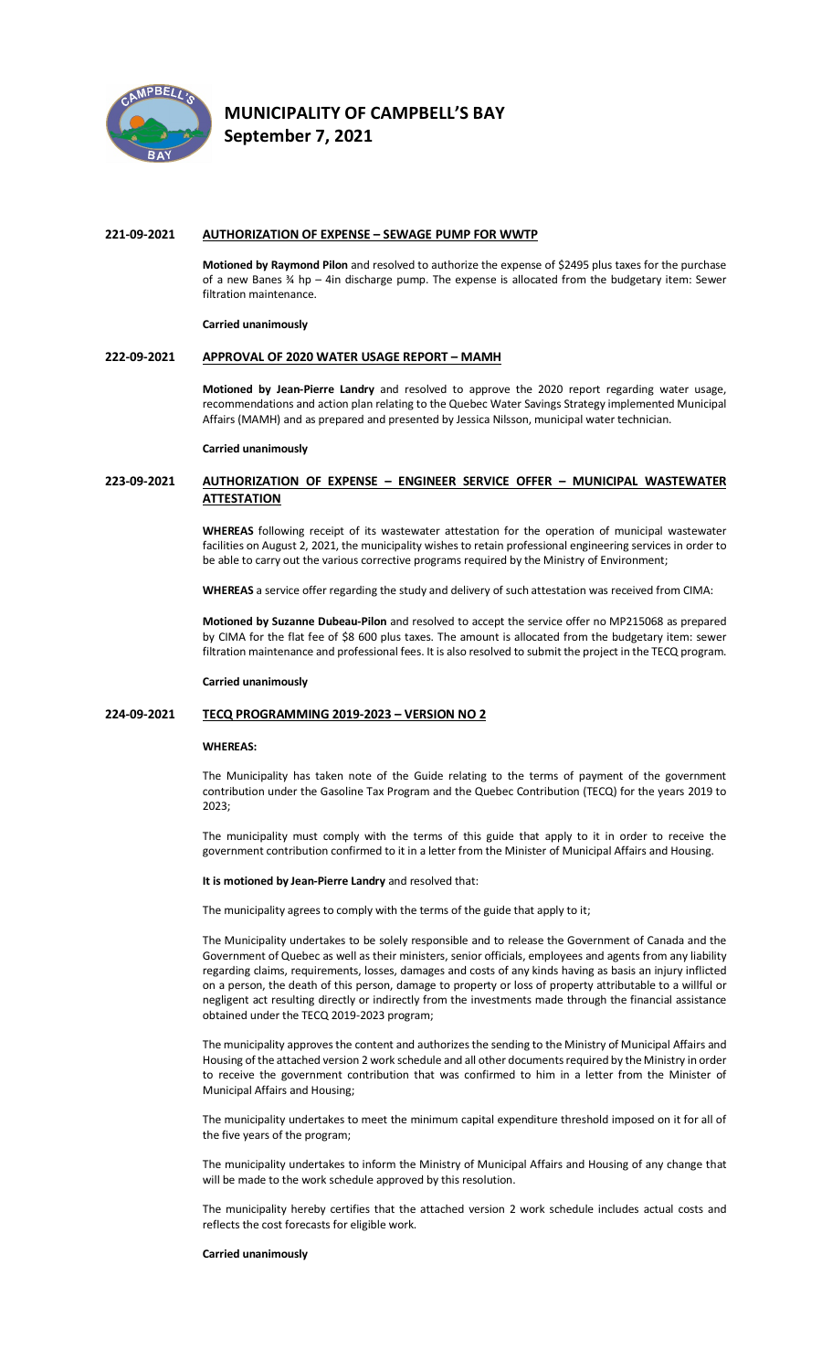

#### **221-09-2021 AUTHORIZATION OF EXPENSE – SEWAGE PUMP FOR WWTP**

**Motioned by Raymond Pilon** and resolved to authorize the expense of \$2495 plus taxes for the purchase of a new Banes ¾ hp – 4in discharge pump. The expense is allocated from the budgetary item: Sewer filtration maintenance.

#### **Carried unanimously**

## **222-09-2021 APPROVAL OF 2020 WATER USAGE REPORT – MAMH**

**Motioned by Jean-Pierre Landry** and resolved to approve the 2020 report regarding water usage, recommendations and action plan relating to the Quebec Water Savings Strategy implemented Municipal Affairs (MAMH) and as prepared and presented by Jessica Nilsson, municipal water technician.

#### **Carried unanimously**

## **223-09-2021 AUTHORIZATION OF EXPENSE – ENGINEER SERVICE OFFER – MUNICIPAL WASTEWATER ATTESTATION**

**WHEREAS** following receipt of its wastewater attestation for the operation of municipal wastewater facilities on August 2, 2021, the municipality wishes to retain professional engineering services in order to be able to carry out the various corrective programs required by the Ministry of Environment;

**WHEREAS** a service offer regarding the study and delivery of such attestation was received from CIMA:

**Motioned by Suzanne Dubeau-Pilon** and resolved to accept the service offer no MP215068 as prepared by CIMA for the flat fee of \$8 600 plus taxes. The amount is allocated from the budgetary item: sewer filtration maintenance and professional fees. It is also resolved to submit the project in the TECQ program.

#### **Carried unanimously**

#### **224-09-2021 TECQ PROGRAMMING 2019-2023 – VERSION NO 2**

#### **WHEREAS:**

The Municipality has taken note of the Guide relating to the terms of payment of the government contribution under the Gasoline Tax Program and the Quebec Contribution (TECQ) for the years 2019 to 2023;

The municipality must comply with the terms of this guide that apply to it in order to receive the government contribution confirmed to it in a letter from the Minister of Municipal Affairs and Housing.

**It is motioned by Jean-Pierre Landry** and resolved that:

The municipality agrees to comply with the terms of the guide that apply to it;

The Municipality undertakes to be solely responsible and to release the Government of Canada and the Government of Quebec as well as their ministers, senior officials, employees and agents from any liability regarding claims, requirements, losses, damages and costs of any kinds having as basis an injury inflicted on a person, the death of this person, damage to property or loss of property attributable to a willful or negligent act resulting directly or indirectly from the investments made through the financial assistance obtained under the TECQ 2019-2023 program;

The municipality approves the content and authorizes the sending to the Ministry of Municipal Affairs and Housing of the attached version 2 work schedule and all other documents required by the Ministry in order to receive the government contribution that was confirmed to him in a letter from the Minister of Municipal Affairs and Housing;

The municipality undertakes to meet the minimum capital expenditure threshold imposed on it for all of the five years of the program;

The municipality undertakes to inform the Ministry of Municipal Affairs and Housing of any change that will be made to the work schedule approved by this resolution.

The municipality hereby certifies that the attached version 2 work schedule includes actual costs and reflects the cost forecasts for eligible work.

#### **Carried unanimously**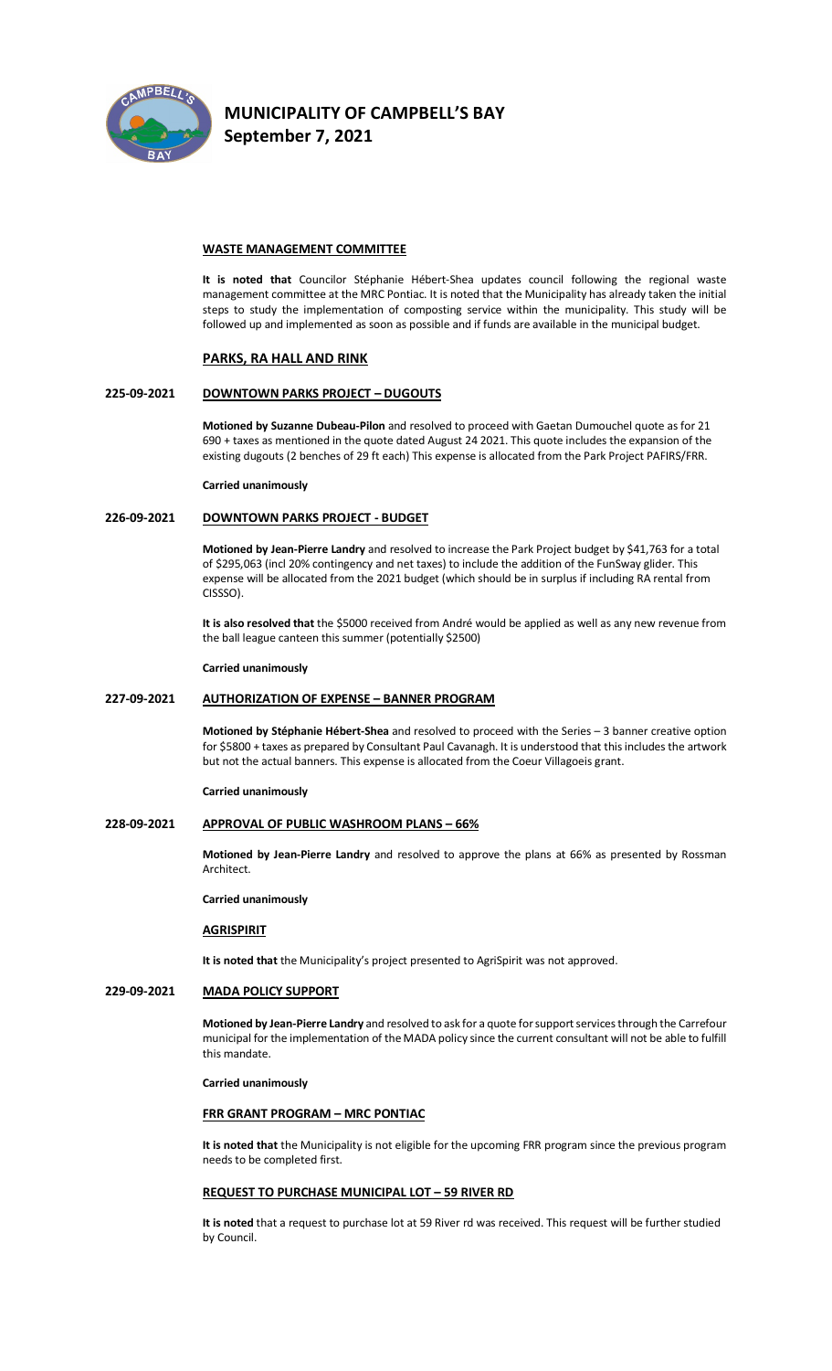

## **WASTE MANAGEMENT COMMITTEE**

**It is noted that** Councilor Stéphanie Hébert-Shea updates council following the regional waste management committee at the MRC Pontiac. It is noted that the Municipality has already taken the initial steps to study the implementation of composting service within the municipality. This study will be followed up and implemented as soon as possible and if funds are available in the municipal budget.

#### **PARKS, RA HALL AND RINK**

## **225-09-2021 DOWNTOWN PARKS PROJECT – DUGOUTS**

**Motioned by Suzanne Dubeau-Pilon** and resolved to proceed with Gaetan Dumouchel quote as for 21 690 + taxes as mentioned in the quote dated August 24 2021. This quote includes the expansion of the existing dugouts (2 benches of 29 ft each) This expense is allocated from the Park Project PAFIRS/FRR.

**Carried unanimously**

## **226-09-2021 DOWNTOWN PARKS PROJECT - BUDGET**

**Motioned by Jean-Pierre Landry** and resolved to increase the Park Project budget by \$41,763 for a total of \$295,063 (incl 20% contingency and net taxes) to include the addition of the FunSway glider. This expense will be allocated from the 2021 budget (which should be in surplus if including RA rental from CISSSO).

**It is also resolved that** the \$5000 received from André would be applied as well as any new revenue from the ball league canteen this summer (potentially \$2500)

#### **Carried unanimously**

## **227-09-2021 AUTHORIZATION OF EXPENSE – BANNER PROGRAM**

**Motioned by Stéphanie Hébert-Shea** and resolved to proceed with the Series – 3 banner creative option for \$5800 + taxes as prepared by Consultant Paul Cavanagh. It is understood that this includes the artwork but not the actual banners. This expense is allocated from the Coeur Villagoeis grant.

#### **Carried unanimously**

## **228-09-2021 APPROVAL OF PUBLIC WASHROOM PLANS – 66%**

**Motioned by Jean-Pierre Landry** and resolved to approve the plans at 66% as presented by Rossman Architect.

#### **Carried unanimously**

# **AGRISPIRIT**

**It is noted that** the Municipality's project presented to AgriSpirit was not approved.

## **229-09-2021 MADA POLICY SUPPORT**

**Motioned by Jean-Pierre Landry** and resolved to ask for a quote for support services through the Carrefour municipal for the implementation of the MADA policy since the current consultant will not be able to fulfill this mandate.

**Carried unanimously**

### **FRR GRANT PROGRAM – MRC PONTIAC**

**It is noted that** the Municipality is not eligible for the upcoming FRR program since the previous program needs to be completed first.

#### **REQUEST TO PURCHASE MUNICIPAL LOT – 59 RIVER RD**

**It is noted** that a request to purchase lot at 59 River rd was received. This request will be further studied by Council.